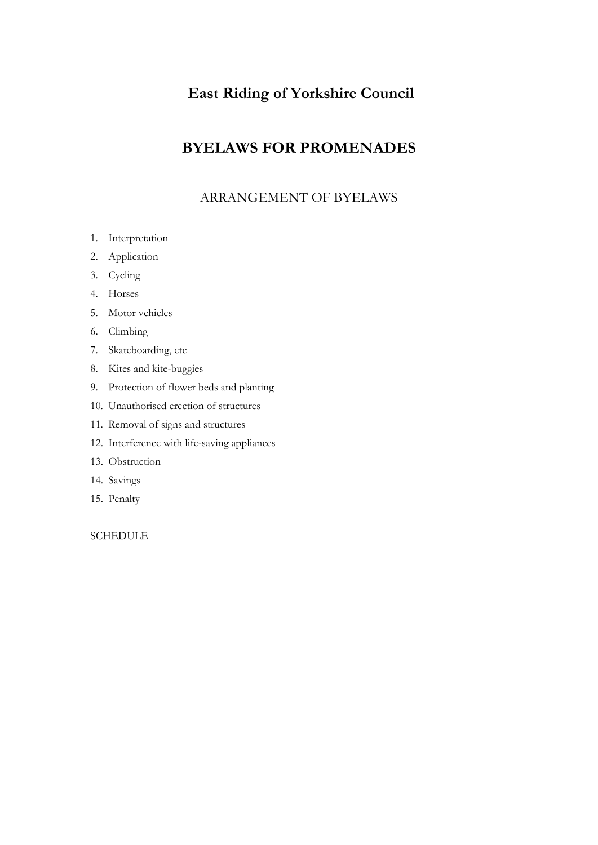# **East Riding of Yorkshire Council**

# **BYELAWS FOR PROMENADES**

# ARRANGEMENT OF BYELAWS

- 1. Interpretation
- 2. Application
- 3. Cycling
- 4. Horses
- 5. Motor vehicles
- 6. Climbing
- 7. Skateboarding, etc
- 8. Kites and kite-buggies
- 9. Protection of flower beds and planting
- 10. Unauthorised erection of structures
- 11. Removal of signs and structures
- 12. Interference with life-saving appliances
- 13. Obstruction
- 14. Savings
- 15. Penalty

**SCHEDULE**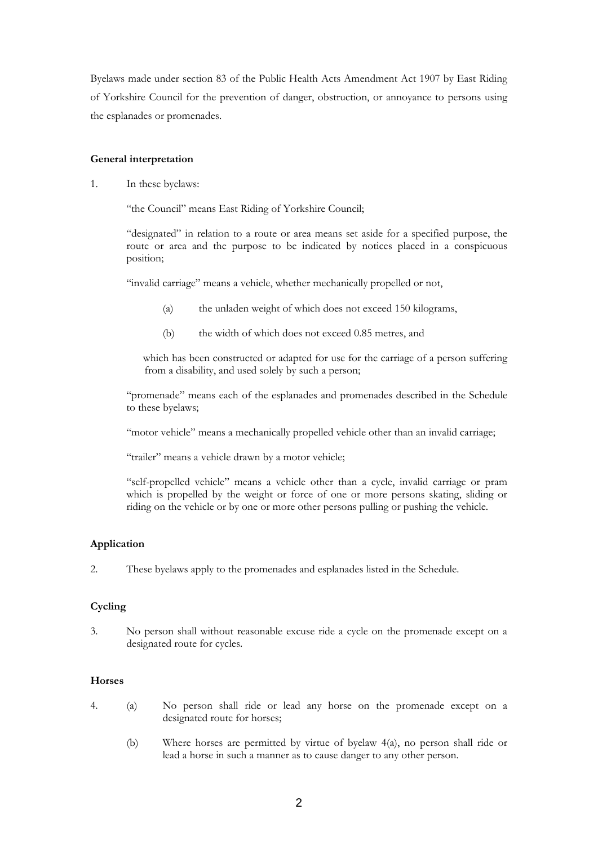Byelaws made under section 83 of the Public Health Acts Amendment Act 1907 by East Riding of Yorkshire Council for the prevention of danger, obstruction, or annoyance to persons using the esplanades or promenades.

# **General interpretation**

1. In these byelaws:

"the Council" means East Riding of Yorkshire Council;

"designated" in relation to a route or area means set aside for a specified purpose, the route or area and the purpose to be indicated by notices placed in a conspicuous position;

"invalid carriage" means a vehicle, whether mechanically propelled or not,

- (a) the unladen weight of which does not exceed 150 kilograms,
- (b) the width of which does not exceed 0.85 metres, and

 which has been constructed or adapted for use for the carriage of a person suffering from a disability, and used solely by such a person;

"promenade" means each of the esplanades and promenades described in the Schedule to these byelaws;

"motor vehicle" means a mechanically propelled vehicle other than an invalid carriage;

"trailer" means a vehicle drawn by a motor vehicle;

"self-propelled vehicle" means a vehicle other than a cycle, invalid carriage or pram which is propelled by the weight or force of one or more persons skating, sliding or riding on the vehicle or by one or more other persons pulling or pushing the vehicle.

# **Application**

2. These byelaws apply to the promenades and esplanades listed in the Schedule.

# **Cycling**

3. No person shall without reasonable excuse ride a cycle on the promenade except on a designated route for cycles.

# **Horses**

- 4. (a) No person shall ride or lead any horse on the promenade except on a designated route for horses;
	- (b) Where horses are permitted by virtue of byelaw 4(a), no person shall ride or lead a horse in such a manner as to cause danger to any other person.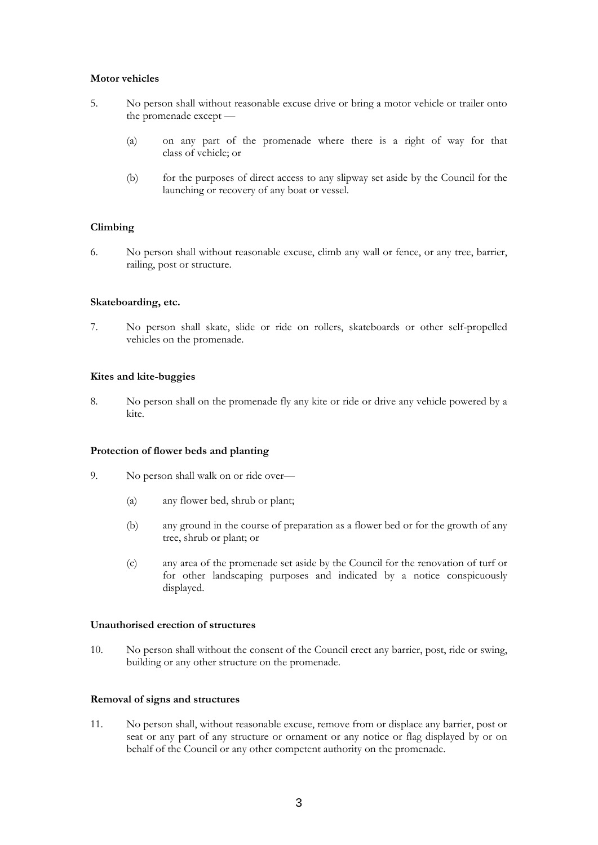### **Motor vehicles**

- 5. No person shall without reasonable excuse drive or bring a motor vehicle or trailer onto the promenade except —
	- (a) on any part of the promenade where there is a right of way for that class of vehicle; or
	- (b) for the purposes of direct access to any slipway set aside by the Council for the launching or recovery of any boat or vessel.

### **Climbing**

6. No person shall without reasonable excuse, climb any wall or fence, or any tree, barrier, railing, post or structure.

#### **Skateboarding, etc.**

7. No person shall skate, slide or ride on rollers, skateboards or other self-propelled vehicles on the promenade.

#### **Kites and kite-buggies**

8. No person shall on the promenade fly any kite or ride or drive any vehicle powered by a kite.

#### **Protection of flower beds and planting**

- 9. No person shall walk on or ride over—
	- (a) any flower bed, shrub or plant;
	- (b) any ground in the course of preparation as a flower bed or for the growth of any tree, shrub or plant; or
	- (c) any area of the promenade set aside by the Council for the renovation of turf or for other landscaping purposes and indicated by a notice conspicuously displayed.

#### **Unauthorised erection of structures**

10. No person shall without the consent of the Council erect any barrier, post, ride or swing, building or any other structure on the promenade.

#### **Removal of signs and structures**

11. No person shall, without reasonable excuse, remove from or displace any barrier, post or seat or any part of any structure or ornament or any notice or flag displayed by or on behalf of the Council or any other competent authority on the promenade.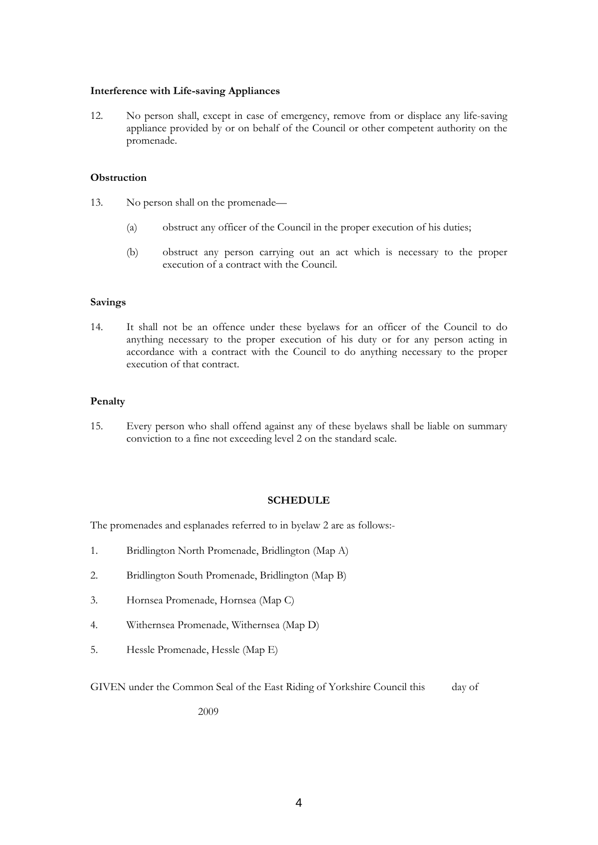#### **Interference with Life-saving Appliances**

12. No person shall, except in case of emergency, remove from or displace any life-saving appliance provided by or on behalf of the Council or other competent authority on the promenade.

### **Obstruction**

- 13. No person shall on the promenade—
	- (a) obstruct any officer of the Council in the proper execution of his duties;
	- (b) obstruct any person carrying out an act which is necessary to the proper execution of a contract with the Council.

### **Savings**

14. It shall not be an offence under these byelaws for an officer of the Council to do anything necessary to the proper execution of his duty or for any person acting in accordance with a contract with the Council to do anything necessary to the proper execution of that contract.

### **Penalty**

15. Every person who shall offend against any of these byelaws shall be liable on summary conviction to a fine not exceeding level 2 on the standard scale.

### **SCHEDULE**

The promenades and esplanades referred to in byelaw 2 are as follows:-

- 1. Bridlington North Promenade, Bridlington (Map A)
- 2. Bridlington South Promenade, Bridlington (Map B)
- 3. Hornsea Promenade, Hornsea (Map C)
- 4. Withernsea Promenade, Withernsea (Map D)
- 5. Hessle Promenade, Hessle (Map E)

GIVEN under the Common Seal of the East Riding of Yorkshire Council this day of

2009